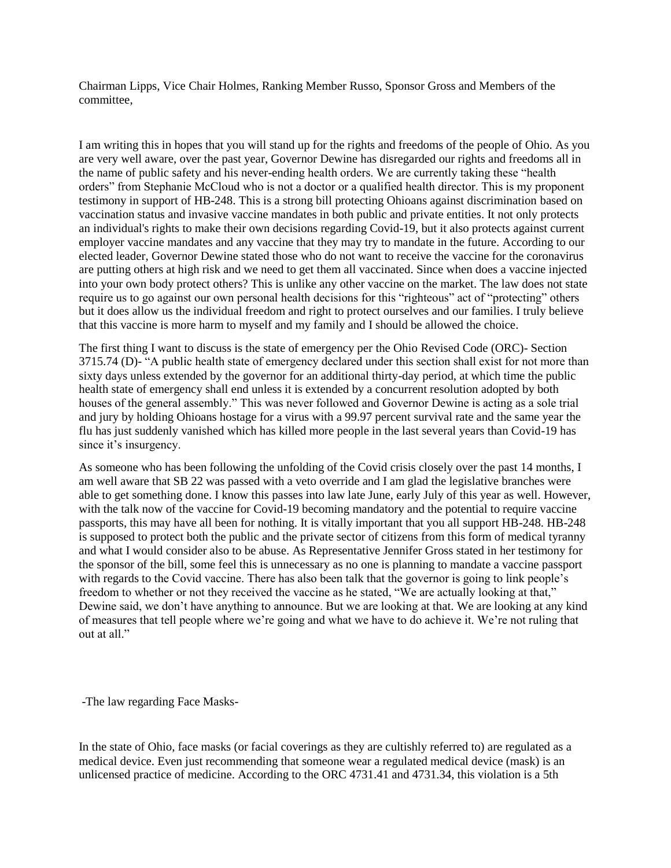Chairman Lipps, Vice Chair Holmes, Ranking Member Russo, Sponsor Gross and Members of the committee,

I am writing this in hopes that you will stand up for the rights and freedoms of the people of Ohio. As you are very well aware, over the past year, Governor Dewine has disregarded our rights and freedoms all in the name of public safety and his never-ending health orders. We are currently taking these "health orders" from Stephanie McCloud who is not a doctor or a qualified health director. This is my proponent testimony in support of HB-248. This is a strong bill protecting Ohioans against discrimination based on vaccination status and invasive vaccine mandates in both public and private entities. It not only protects an individual's rights to make their own decisions regarding Covid-19, but it also protects against current employer vaccine mandates and any vaccine that they may try to mandate in the future. According to our elected leader, Governor Dewine stated those who do not want to receive the vaccine for the coronavirus are putting others at high risk and we need to get them all vaccinated. Since when does a vaccine injected into your own body protect others? This is unlike any other vaccine on the market. The law does not state require us to go against our own personal health decisions for this "righteous" act of "protecting" others but it does allow us the individual freedom and right to protect ourselves and our families. I truly believe that this vaccine is more harm to myself and my family and I should be allowed the choice.

The first thing I want to discuss is the state of emergency per the Ohio Revised Code (ORC)- Section 3715.74 (D)- "A public health state of emergency declared under this section shall exist for not more than sixty days unless extended by the governor for an additional thirty-day period, at which time the public health state of emergency shall end unless it is extended by a concurrent resolution adopted by both houses of the general assembly." This was never followed and Governor Dewine is acting as a sole trial and jury by holding Ohioans hostage for a virus with a 99.97 percent survival rate and the same year the flu has just suddenly vanished which has killed more people in the last several years than Covid-19 has since it's insurgency.

As someone who has been following the unfolding of the Covid crisis closely over the past 14 months, I am well aware that SB 22 was passed with a veto override and I am glad the legislative branches were able to get something done. I know this passes into law late June, early July of this year as well. However, with the talk now of the vaccine for Covid-19 becoming mandatory and the potential to require vaccine passports, this may have all been for nothing. It is vitally important that you all support HB-248. HB-248 is supposed to protect both the public and the private sector of citizens from this form of medical tyranny and what I would consider also to be abuse. As Representative Jennifer Gross stated in her testimony for the sponsor of the bill, some feel this is unnecessary as no one is planning to mandate a vaccine passport with regards to the Covid vaccine. There has also been talk that the governor is going to link people's freedom to whether or not they received the vaccine as he stated, "We are actually looking at that," Dewine said, we don't have anything to announce. But we are looking at that. We are looking at any kind of measures that tell people where we're going and what we have to do achieve it. We're not ruling that out at all."

-The law regarding Face Masks-

In the state of Ohio, face masks (or facial coverings as they are cultishly referred to) are regulated as a medical device. Even just recommending that someone wear a regulated medical device (mask) is an unlicensed practice of medicine. According to the ORC 4731.41 and 4731.34, this violation is a 5th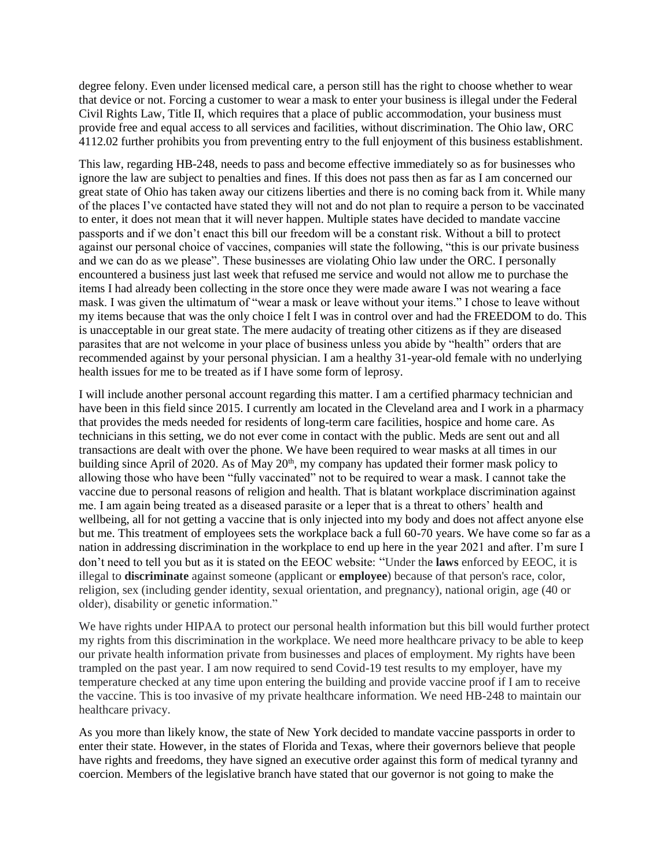degree felony. Even under licensed medical care, a person still has the right to choose whether to wear that device or not. Forcing a customer to wear a mask to enter your business is illegal under the Federal Civil Rights Law, Title II, which requires that a place of public accommodation, your business must provide free and equal access to all services and facilities, without discrimination. The Ohio law, ORC 4112.02 further prohibits you from preventing entry to the full enjoyment of this business establishment.

This law, regarding HB-248, needs to pass and become effective immediately so as for businesses who ignore the law are subject to penalties and fines. If this does not pass then as far as I am concerned our great state of Ohio has taken away our citizens liberties and there is no coming back from it. While many of the places I've contacted have stated they will not and do not plan to require a person to be vaccinated to enter, it does not mean that it will never happen. Multiple states have decided to mandate vaccine passports and if we don't enact this bill our freedom will be a constant risk. Without a bill to protect against our personal choice of vaccines, companies will state the following, "this is our private business and we can do as we please". These businesses are violating Ohio law under the ORC. I personally encountered a business just last week that refused me service and would not allow me to purchase the items I had already been collecting in the store once they were made aware I was not wearing a face mask. I was given the ultimatum of "wear a mask or leave without your items." I chose to leave without my items because that was the only choice I felt I was in control over and had the FREEDOM to do. This is unacceptable in our great state. The mere audacity of treating other citizens as if they are diseased parasites that are not welcome in your place of business unless you abide by "health" orders that are recommended against by your personal physician. I am a healthy 31-year-old female with no underlying health issues for me to be treated as if I have some form of leprosy.

I will include another personal account regarding this matter. I am a certified pharmacy technician and have been in this field since 2015. I currently am located in the Cleveland area and I work in a pharmacy that provides the meds needed for residents of long-term care facilities, hospice and home care. As technicians in this setting, we do not ever come in contact with the public. Meds are sent out and all transactions are dealt with over the phone. We have been required to wear masks at all times in our building since April of 2020. As of May 20<sup>th</sup>, my company has updated their former mask policy to allowing those who have been "fully vaccinated" not to be required to wear a mask. I cannot take the vaccine due to personal reasons of religion and health. That is blatant workplace discrimination against me. I am again being treated as a diseased parasite or a leper that is a threat to others' health and wellbeing, all for not getting a vaccine that is only injected into my body and does not affect anyone else but me. This treatment of employees sets the workplace back a full 60-70 years. We have come so far as a nation in addressing discrimination in the workplace to end up here in the year 2021 and after. I'm sure I don't need to tell you but as it is stated on the EEOC website: "Under the **laws** enforced by EEOC, it is illegal to **discriminate** against someone (applicant or **employee**) because of that person's race, color, religion, sex (including gender identity, sexual orientation, and pregnancy), national origin, age (40 or older), disability or genetic information."

We have rights under HIPAA to protect our personal health information but this bill would further protect my rights from this discrimination in the workplace. We need more healthcare privacy to be able to keep our private health information private from businesses and places of employment. My rights have been trampled on the past year. I am now required to send Covid-19 test results to my employer, have my temperature checked at any time upon entering the building and provide vaccine proof if I am to receive the vaccine. This is too invasive of my private healthcare information. We need HB-248 to maintain our healthcare privacy.

As you more than likely know, the state of New York decided to mandate vaccine passports in order to enter their state. However, in the states of Florida and Texas, where their governors believe that people have rights and freedoms, they have signed an executive order against this form of medical tyranny and coercion. Members of the legislative branch have stated that our governor is not going to make the